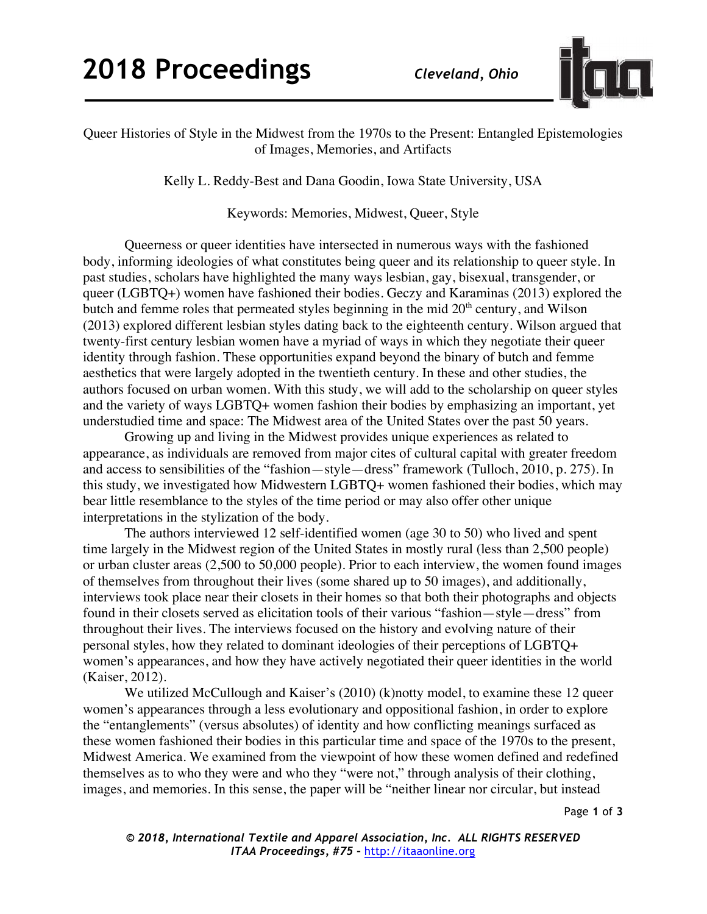## **2018 Proceedings** *Cleveland, Ohio*



Queer Histories of Style in the Midwest from the 1970s to the Present: Entangled Epistemologies of Images, Memories, and Artifacts

Kelly L. Reddy-Best and Dana Goodin, Iowa State University, USA

Keywords: Memories, Midwest, Queer, Style

Queerness or queer identities have intersected in numerous ways with the fashioned body, informing ideologies of what constitutes being queer and its relationship to queer style. In past studies, scholars have highlighted the many ways lesbian, gay, bisexual, transgender, or queer (LGBTQ+) women have fashioned their bodies. Geczy and Karaminas (2013) explored the butch and femme roles that permeated styles beginning in the mid  $20<sup>th</sup>$  century, and Wilson (2013) explored different lesbian styles dating back to the eighteenth century. Wilson argued that twenty-first century lesbian women have a myriad of ways in which they negotiate their queer identity through fashion. These opportunities expand beyond the binary of butch and femme aesthetics that were largely adopted in the twentieth century. In these and other studies, the authors focused on urban women. With this study, we will add to the scholarship on queer styles and the variety of ways LGBTQ+ women fashion their bodies by emphasizing an important, yet understudied time and space: The Midwest area of the United States over the past 50 years.

Growing up and living in the Midwest provides unique experiences as related to appearance, as individuals are removed from major cites of cultural capital with greater freedom and access to sensibilities of the "fashion—style—dress" framework (Tulloch, 2010, p. 275). In this study, we investigated how Midwestern LGBTQ+ women fashioned their bodies, which may bear little resemblance to the styles of the time period or may also offer other unique interpretations in the stylization of the body.

The authors interviewed 12 self-identified women (age 30 to 50) who lived and spent time largely in the Midwest region of the United States in mostly rural (less than 2,500 people) or urban cluster areas (2,500 to 50,000 people). Prior to each interview, the women found images of themselves from throughout their lives (some shared up to 50 images), and additionally, interviews took place near their closets in their homes so that both their photographs and objects found in their closets served as elicitation tools of their various "fashion—style—dress" from throughout their lives. The interviews focused on the history and evolving nature of their personal styles, how they related to dominant ideologies of their perceptions of LGBTQ+ women's appearances, and how they have actively negotiated their queer identities in the world (Kaiser, 2012).

We utilized McCullough and Kaiser's (2010) (k)notty model, to examine these 12 queer women's appearances through a less evolutionary and oppositional fashion, in order to explore the "entanglements" (versus absolutes) of identity and how conflicting meanings surfaced as these women fashioned their bodies in this particular time and space of the 1970s to the present, Midwest America. We examined from the viewpoint of how these women defined and redefined themselves as to who they were and who they "were not," through analysis of their clothing, images, and memories. In this sense, the paper will be "neither linear nor circular, but instead

Page **1** of **3**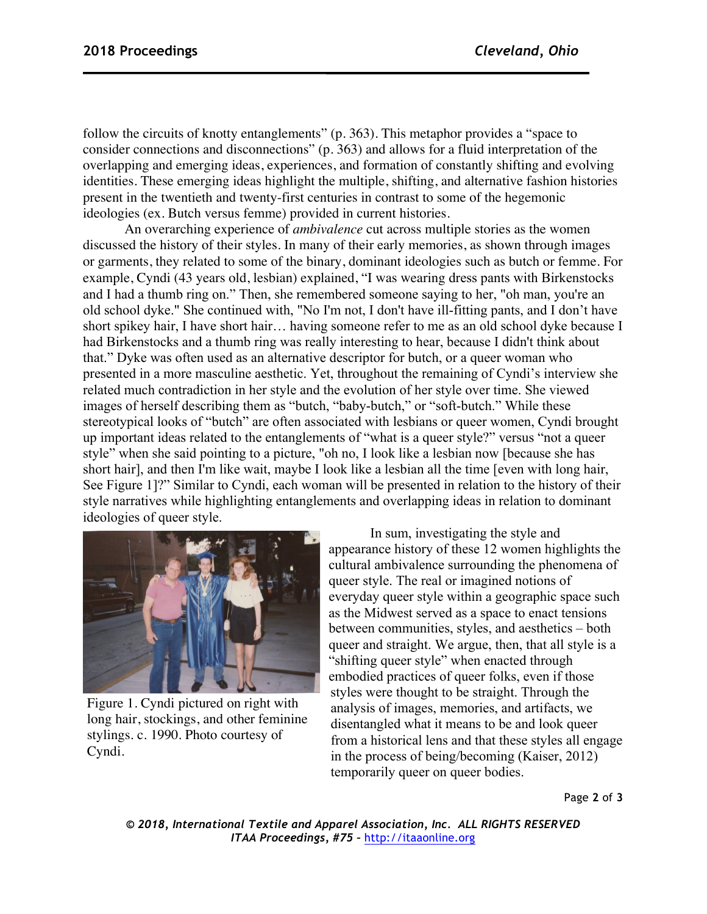follow the circuits of knotty entanglements" (p. 363). This metaphor provides a "space to consider connections and disconnections" (p. 363) and allows for a fluid interpretation of the overlapping and emerging ideas, experiences, and formation of constantly shifting and evolving identities. These emerging ideas highlight the multiple, shifting, and alternative fashion histories present in the twentieth and twenty-first centuries in contrast to some of the hegemonic ideologies (ex. Butch versus femme) provided in current histories.

An overarching experience of *ambivalence* cut across multiple stories as the women discussed the history of their styles. In many of their early memories, as shown through images or garments, they related to some of the binary, dominant ideologies such as butch or femme. For example, Cyndi (43 years old, lesbian) explained, "I was wearing dress pants with Birkenstocks and I had a thumb ring on." Then, she remembered someone saying to her, "oh man, you're an old school dyke." She continued with, "No I'm not, I don't have ill-fitting pants, and I don't have short spikey hair, I have short hair… having someone refer to me as an old school dyke because I had Birkenstocks and a thumb ring was really interesting to hear, because I didn't think about that." Dyke was often used as an alternative descriptor for butch, or a queer woman who presented in a more masculine aesthetic. Yet, throughout the remaining of Cyndi's interview she related much contradiction in her style and the evolution of her style over time. She viewed images of herself describing them as "butch, "baby-butch," or "soft-butch." While these stereotypical looks of "butch" are often associated with lesbians or queer women, Cyndi brought up important ideas related to the entanglements of "what is a queer style?" versus "not a queer style" when she said pointing to a picture, "oh no, I look like a lesbian now [because she has short hair], and then I'm like wait, maybe I look like a lesbian all the time [even with long hair, See Figure 1]?" Similar to Cyndi, each woman will be presented in relation to the history of their style narratives while highlighting entanglements and overlapping ideas in relation to dominant ideologies of queer style.



Figure 1. Cyndi pictured on right with long hair, stockings, and other feminine stylings. c. 1990. Photo courtesy of Cyndi.

In sum, investigating the style and appearance history of these 12 women highlights the cultural ambivalence surrounding the phenomena of queer style. The real or imagined notions of everyday queer style within a geographic space such as the Midwest served as a space to enact tensions between communities, styles, and aesthetics – both queer and straight. We argue, then, that all style is a "shifting queer style" when enacted through embodied practices of queer folks, even if those styles were thought to be straight. Through the analysis of images, memories, and artifacts, we disentangled what it means to be and look queer from a historical lens and that these styles all engage in the process of being/becoming (Kaiser, 2012) temporarily queer on queer bodies.

Page **2** of **3**

*© 2018, International Textile and Apparel Association, Inc. ALL RIGHTS RESERVED ITAA Proceedings, #75 –* http://itaaonline.org